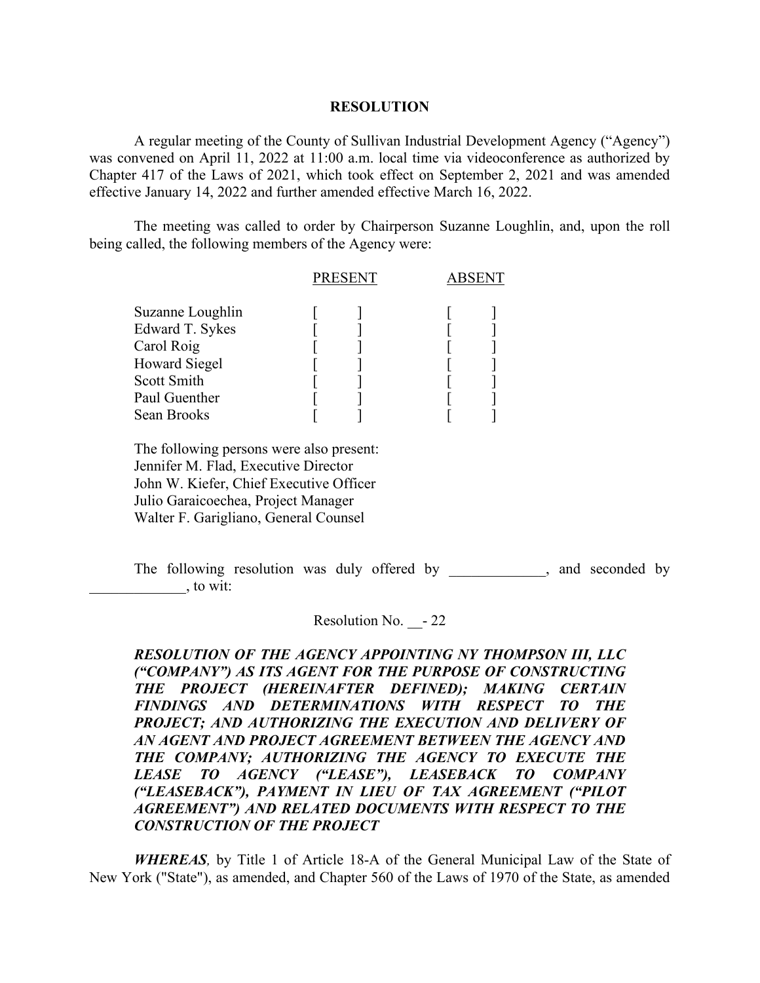## **RESOLUTION**

A regular meeting of the County of Sullivan Industrial Development Agency ("Agency") was convened on April 11, 2022 at 11:00 a.m. local time via videoconference as authorized by Chapter 417 of the Laws of 2021, which took effect on September 2, 2021 and was amended effective January 14, 2022 and further amended effective March 16, 2022.

The meeting was called to order by Chairperson Suzanne Loughlin, and, upon the roll being called, the following members of the Agency were:

|                      |  | PRESENT | <b>ABSENT</b> |  |
|----------------------|--|---------|---------------|--|
| Suzanne Loughlin     |  |         |               |  |
| Edward T. Sykes      |  |         |               |  |
| Carol Roig           |  |         |               |  |
| <b>Howard Siegel</b> |  |         |               |  |
| Scott Smith          |  |         |               |  |
| Paul Guenther        |  |         |               |  |
| Sean Brooks          |  |         |               |  |
|                      |  |         |               |  |

 The following persons were also present: Jennifer M. Flad, Executive Director John W. Kiefer, Chief Executive Officer Julio Garaicoechea, Project Manager Walter F. Garigliano, General Counsel

The following resolution was duly offered by example and seconded by  $\frac{1}{2}$ , to wit:

Resolution No. - 22

*RESOLUTION OF THE AGENCY APPOINTING NY THOMPSON III, LLC ("COMPANY") AS ITS AGENT FOR THE PURPOSE OF CONSTRUCTING THE PROJECT (HEREINAFTER DEFINED); MAKING CERTAIN FINDINGS AND DETERMINATIONS WITH RESPECT TO THE PROJECT; AND AUTHORIZING THE EXECUTION AND DELIVERY OF AN AGENT AND PROJECT AGREEMENT BETWEEN THE AGENCY AND THE COMPANY; AUTHORIZING THE AGENCY TO EXECUTE THE LEASE TO AGENCY ("LEASE"), LEASEBACK TO COMPANY ("LEASEBACK"), PAYMENT IN LIEU OF TAX AGREEMENT ("PILOT AGREEMENT") AND RELATED DOCUMENTS WITH RESPECT TO THE CONSTRUCTION OF THE PROJECT*

*WHEREAS,* by Title 1 of Article 18-A of the General Municipal Law of the State of New York ("State"), as amended, and Chapter 560 of the Laws of 1970 of the State, as amended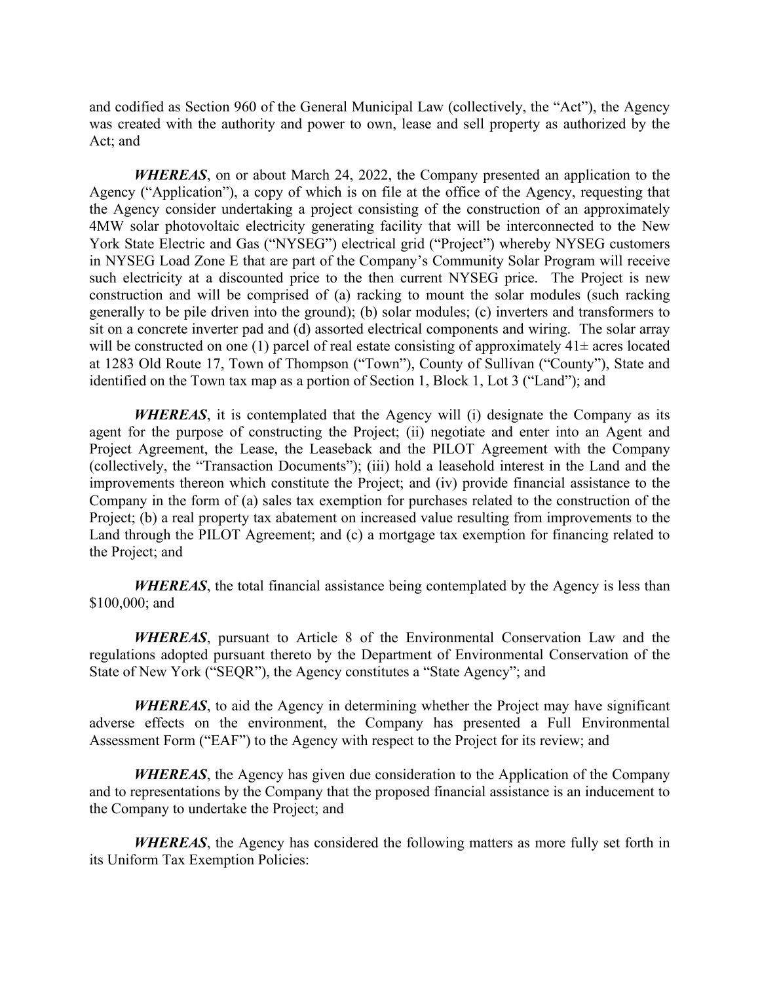and codified as Section 960 of the General Municipal Law (collectively, the "Act"), the Agency was created with the authority and power to own, lease and sell property as authorized by the Act; and

*WHEREAS*, on or about March 24, 2022, the Company presented an application to the Agency ("Application"), a copy of which is on file at the office of the Agency, requesting that the Agency consider undertaking a project consisting of the construction of an approximately 4MW solar photovoltaic electricity generating facility that will be interconnected to the New York State Electric and Gas ("NYSEG") electrical grid ("Project") whereby NYSEG customers in NYSEG Load Zone E that are part of the Company's Community Solar Program will receive such electricity at a discounted price to the then current NYSEG price. The Project is new construction and will be comprised of (a) racking to mount the solar modules (such racking generally to be pile driven into the ground); (b) solar modules; (c) inverters and transformers to sit on a concrete inverter pad and (d) assorted electrical components and wiring. The solar array will be constructed on one (1) parcel of real estate consisting of approximately  $41\pm$  acres located at 1283 Old Route 17, Town of Thompson ("Town"), County of Sullivan ("County"), State and identified on the Town tax map as a portion of Section 1, Block 1, Lot 3 ("Land"); and

*WHEREAS*, it is contemplated that the Agency will (i) designate the Company as its agent for the purpose of constructing the Project; (ii) negotiate and enter into an Agent and Project Agreement, the Lease, the Leaseback and the PILOT Agreement with the Company (collectively, the "Transaction Documents"); (iii) hold a leasehold interest in the Land and the improvements thereon which constitute the Project; and (iv) provide financial assistance to the Company in the form of (a) sales tax exemption for purchases related to the construction of the Project; (b) a real property tax abatement on increased value resulting from improvements to the Land through the PILOT Agreement; and (c) a mortgage tax exemption for financing related to the Project; and

*WHEREAS*, the total financial assistance being contemplated by the Agency is less than \$100,000; and

*WHEREAS*, pursuant to Article 8 of the Environmental Conservation Law and the regulations adopted pursuant thereto by the Department of Environmental Conservation of the State of New York ("SEQR"), the Agency constitutes a "State Agency"; and

*WHEREAS*, to aid the Agency in determining whether the Project may have significant adverse effects on the environment, the Company has presented a Full Environmental Assessment Form ("EAF") to the Agency with respect to the Project for its review; and

*WHEREAS*, the Agency has given due consideration to the Application of the Company and to representations by the Company that the proposed financial assistance is an inducement to the Company to undertake the Project; and

*WHEREAS*, the Agency has considered the following matters as more fully set forth in its Uniform Tax Exemption Policies: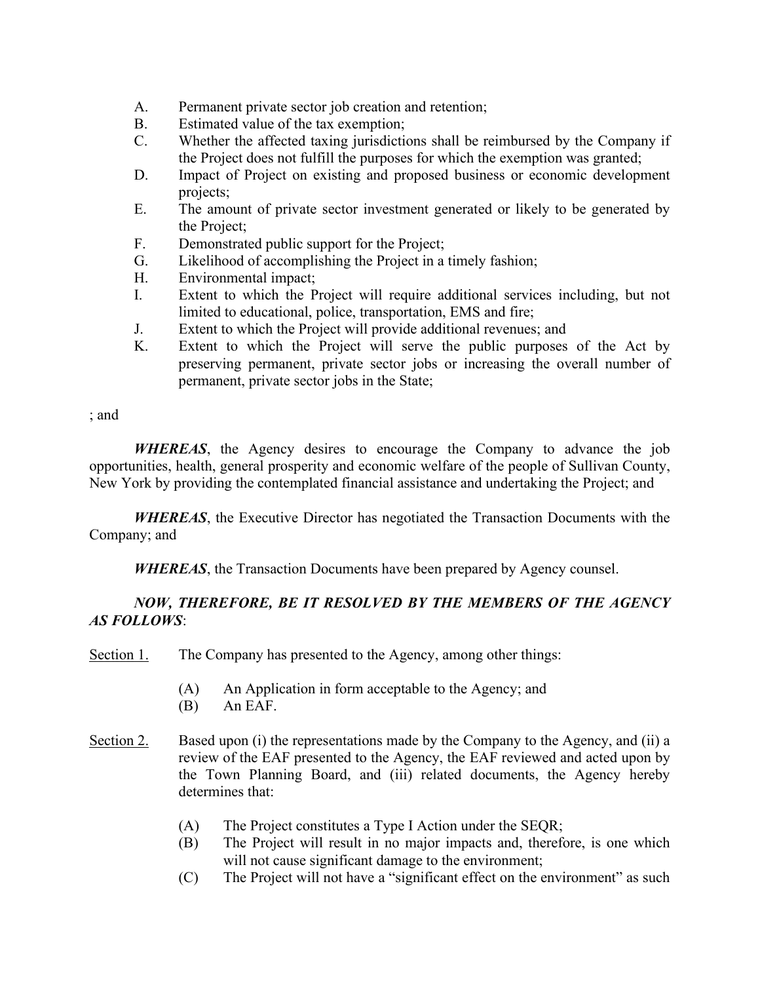- A. Permanent private sector job creation and retention;
- B. Estimated value of the tax exemption;
- C. Whether the affected taxing jurisdictions shall be reimbursed by the Company if the Project does not fulfill the purposes for which the exemption was granted;
- D. Impact of Project on existing and proposed business or economic development projects;
- E. The amount of private sector investment generated or likely to be generated by the Project;
- F. Demonstrated public support for the Project;
- G. Likelihood of accomplishing the Project in a timely fashion;
- H. Environmental impact;
- I. Extent to which the Project will require additional services including, but not limited to educational, police, transportation, EMS and fire;
- J. Extent to which the Project will provide additional revenues; and
- K. Extent to which the Project will serve the public purposes of the Act by preserving permanent, private sector jobs or increasing the overall number of permanent, private sector jobs in the State;

; and

*WHEREAS*, the Agency desires to encourage the Company to advance the job opportunities, health, general prosperity and economic welfare of the people of Sullivan County, New York by providing the contemplated financial assistance and undertaking the Project; and

*WHEREAS*, the Executive Director has negotiated the Transaction Documents with the Company; and

*WHEREAS*, the Transaction Documents have been prepared by Agency counsel.

## *NOW, THEREFORE, BE IT RESOLVED BY THE MEMBERS OF THE AGENCY AS FOLLOWS*:

Section 1. The Company has presented to the Agency, among other things:

- (A) An Application in form acceptable to the Agency; and
- (B) An EAF.
- Section 2. Based upon (i) the representations made by the Company to the Agency, and (ii) a review of the EAF presented to the Agency, the EAF reviewed and acted upon by the Town Planning Board, and (iii) related documents, the Agency hereby determines that:
	- (A) The Project constitutes a Type I Action under the SEQR;
	- (B) The Project will result in no major impacts and, therefore, is one which will not cause significant damage to the environment;
	- (C) The Project will not have a "significant effect on the environment" as such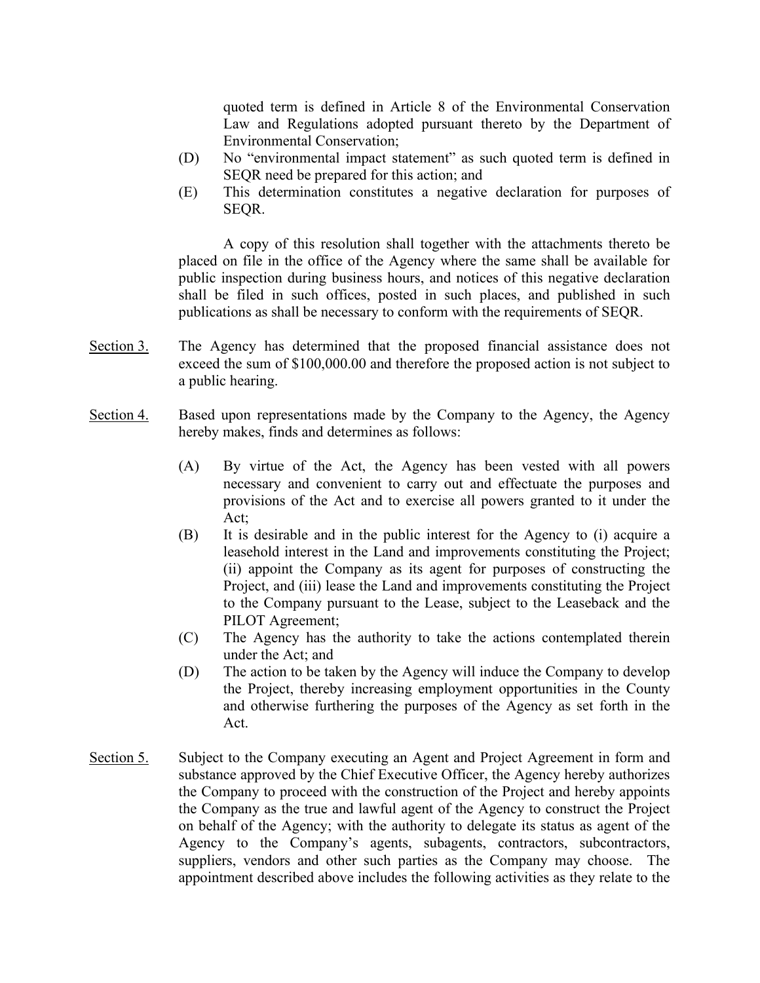quoted term is defined in Article 8 of the Environmental Conservation Law and Regulations adopted pursuant thereto by the Department of Environmental Conservation;

- (D) No "environmental impact statement" as such quoted term is defined in SEQR need be prepared for this action; and
- (E) This determination constitutes a negative declaration for purposes of SEQR.

A copy of this resolution shall together with the attachments thereto be placed on file in the office of the Agency where the same shall be available for public inspection during business hours, and notices of this negative declaration shall be filed in such offices, posted in such places, and published in such publications as shall be necessary to conform with the requirements of SEQR.

- Section 3. The Agency has determined that the proposed financial assistance does not exceed the sum of \$100,000.00 and therefore the proposed action is not subject to a public hearing.
- Section 4. Based upon representations made by the Company to the Agency, the Agency hereby makes, finds and determines as follows:
	- (A) By virtue of the Act, the Agency has been vested with all powers necessary and convenient to carry out and effectuate the purposes and provisions of the Act and to exercise all powers granted to it under the Act;
	- (B) It is desirable and in the public interest for the Agency to (i) acquire a leasehold interest in the Land and improvements constituting the Project; (ii) appoint the Company as its agent for purposes of constructing the Project, and (iii) lease the Land and improvements constituting the Project to the Company pursuant to the Lease, subject to the Leaseback and the PILOT Agreement;
	- (C) The Agency has the authority to take the actions contemplated therein under the Act; and
	- (D) The action to be taken by the Agency will induce the Company to develop the Project, thereby increasing employment opportunities in the County and otherwise furthering the purposes of the Agency as set forth in the Act.
- Section 5. Subject to the Company executing an Agent and Project Agreement in form and substance approved by the Chief Executive Officer, the Agency hereby authorizes the Company to proceed with the construction of the Project and hereby appoints the Company as the true and lawful agent of the Agency to construct the Project on behalf of the Agency; with the authority to delegate its status as agent of the Agency to the Company's agents, subagents, contractors, subcontractors, suppliers, vendors and other such parties as the Company may choose. The appointment described above includes the following activities as they relate to the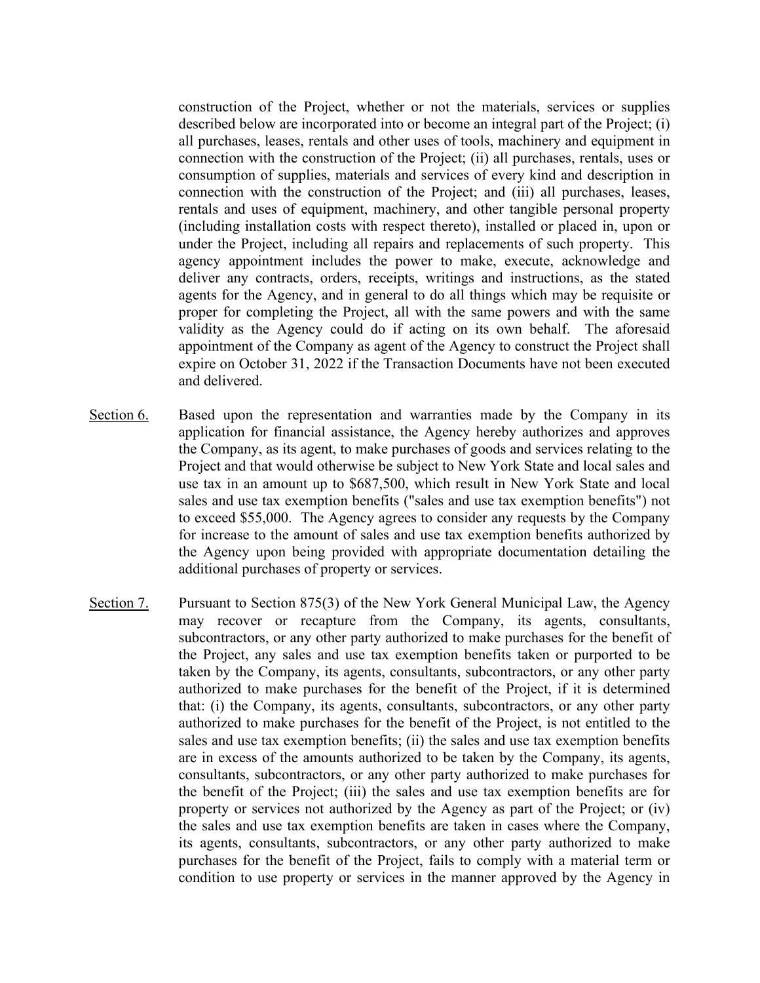construction of the Project, whether or not the materials, services or supplies described below are incorporated into or become an integral part of the Project; (i) all purchases, leases, rentals and other uses of tools, machinery and equipment in connection with the construction of the Project; (ii) all purchases, rentals, uses or consumption of supplies, materials and services of every kind and description in connection with the construction of the Project; and (iii) all purchases, leases, rentals and uses of equipment, machinery, and other tangible personal property (including installation costs with respect thereto), installed or placed in, upon or under the Project, including all repairs and replacements of such property. This agency appointment includes the power to make, execute, acknowledge and deliver any contracts, orders, receipts, writings and instructions, as the stated agents for the Agency, and in general to do all things which may be requisite or proper for completing the Project, all with the same powers and with the same validity as the Agency could do if acting on its own behalf. The aforesaid appointment of the Company as agent of the Agency to construct the Project shall expire on October 31, 2022 if the Transaction Documents have not been executed and delivered.

- Section 6. Based upon the representation and warranties made by the Company in its application for financial assistance, the Agency hereby authorizes and approves the Company, as its agent, to make purchases of goods and services relating to the Project and that would otherwise be subject to New York State and local sales and use tax in an amount up to \$687,500, which result in New York State and local sales and use tax exemption benefits ("sales and use tax exemption benefits") not to exceed \$55,000. The Agency agrees to consider any requests by the Company for increase to the amount of sales and use tax exemption benefits authorized by the Agency upon being provided with appropriate documentation detailing the additional purchases of property or services.
- Section 7. Pursuant to Section 875(3) of the New York General Municipal Law, the Agency may recover or recapture from the Company, its agents, consultants, subcontractors, or any other party authorized to make purchases for the benefit of the Project, any sales and use tax exemption benefits taken or purported to be taken by the Company, its agents, consultants, subcontractors, or any other party authorized to make purchases for the benefit of the Project, if it is determined that: (i) the Company, its agents, consultants, subcontractors, or any other party authorized to make purchases for the benefit of the Project, is not entitled to the sales and use tax exemption benefits; (ii) the sales and use tax exemption benefits are in excess of the amounts authorized to be taken by the Company, its agents, consultants, subcontractors, or any other party authorized to make purchases for the benefit of the Project; (iii) the sales and use tax exemption benefits are for property or services not authorized by the Agency as part of the Project; or (iv) the sales and use tax exemption benefits are taken in cases where the Company, its agents, consultants, subcontractors, or any other party authorized to make purchases for the benefit of the Project, fails to comply with a material term or condition to use property or services in the manner approved by the Agency in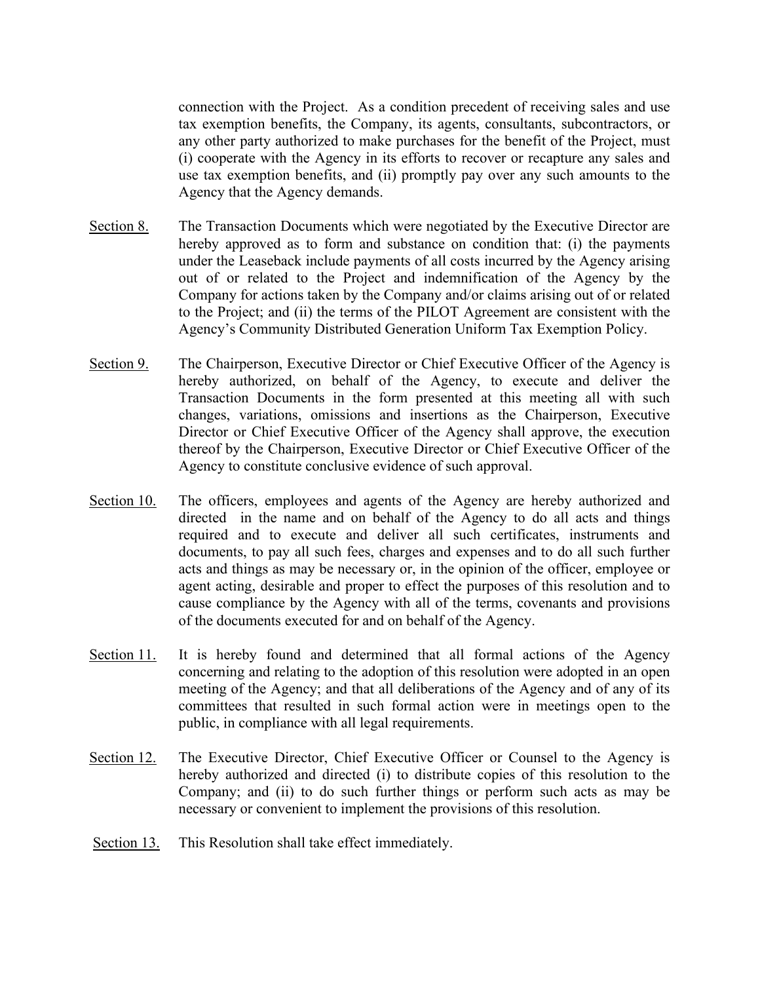connection with the Project. As a condition precedent of receiving sales and use tax exemption benefits, the Company, its agents, consultants, subcontractors, or any other party authorized to make purchases for the benefit of the Project, must (i) cooperate with the Agency in its efforts to recover or recapture any sales and use tax exemption benefits, and (ii) promptly pay over any such amounts to the Agency that the Agency demands.

- Section 8. The Transaction Documents which were negotiated by the Executive Director are hereby approved as to form and substance on condition that: (i) the payments under the Leaseback include payments of all costs incurred by the Agency arising out of or related to the Project and indemnification of the Agency by the Company for actions taken by the Company and/or claims arising out of or related to the Project; and (ii) the terms of the PILOT Agreement are consistent with the Agency's Community Distributed Generation Uniform Tax Exemption Policy.
- Section 9. The Chairperson, Executive Director or Chief Executive Officer of the Agency is hereby authorized, on behalf of the Agency, to execute and deliver the Transaction Documents in the form presented at this meeting all with such changes, variations, omissions and insertions as the Chairperson, Executive Director or Chief Executive Officer of the Agency shall approve, the execution thereof by the Chairperson, Executive Director or Chief Executive Officer of the Agency to constitute conclusive evidence of such approval.
- Section 10. The officers, employees and agents of the Agency are hereby authorized and directed in the name and on behalf of the Agency to do all acts and things required and to execute and deliver all such certificates, instruments and documents, to pay all such fees, charges and expenses and to do all such further acts and things as may be necessary or, in the opinion of the officer, employee or agent acting, desirable and proper to effect the purposes of this resolution and to cause compliance by the Agency with all of the terms, covenants and provisions of the documents executed for and on behalf of the Agency.
- Section 11. It is hereby found and determined that all formal actions of the Agency concerning and relating to the adoption of this resolution were adopted in an open meeting of the Agency; and that all deliberations of the Agency and of any of its committees that resulted in such formal action were in meetings open to the public, in compliance with all legal requirements.
- Section 12. The Executive Director, Chief Executive Officer or Counsel to the Agency is hereby authorized and directed (i) to distribute copies of this resolution to the Company; and (ii) to do such further things or perform such acts as may be necessary or convenient to implement the provisions of this resolution.
- Section 13. This Resolution shall take effect immediately.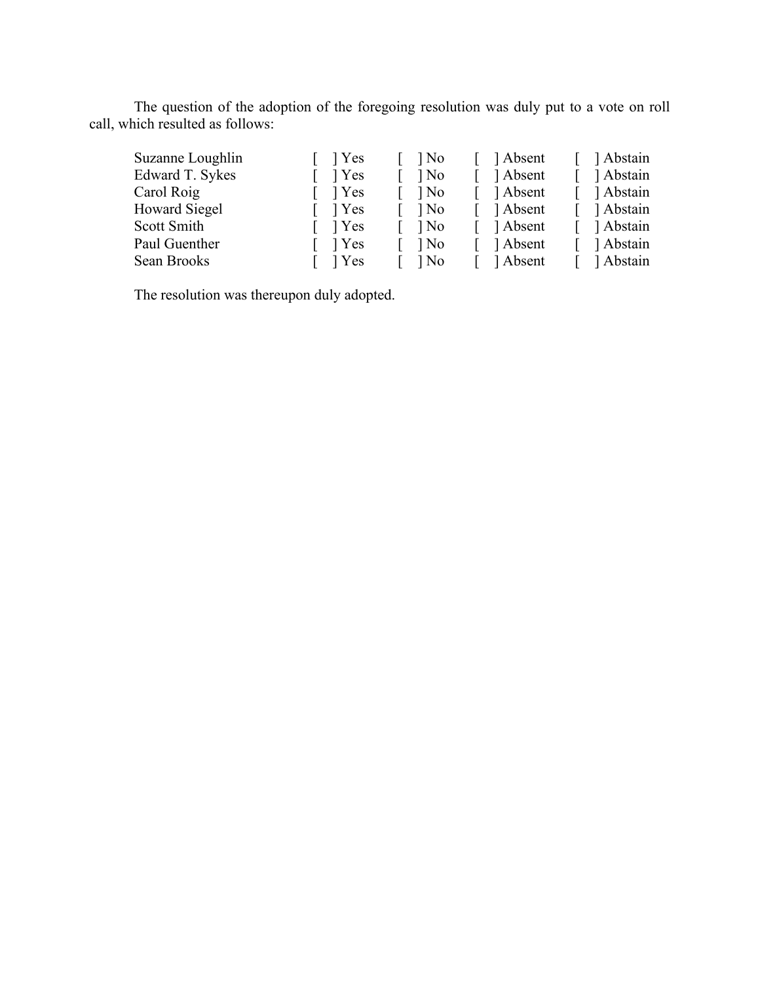The question of the adoption of the foregoing resolution was duly put to a vote on roll call, which resulted as follows:

| $\lceil \quad \rceil$ Yes<br>$\log$ | Absent     | Abstain                    |
|-------------------------------------|------------|----------------------------|
| $1$ No<br>1 Yes                     | Absent     | 1 Abstain                  |
| $\lceil \quad \rceil$ Yes           | [ ] Absent | Abstain                    |
| $\lceil \quad \rceil$ Yes<br>$\log$ | [ ] Absent | Abstain                    |
| $\lceil \quad \rceil$ Yes           | [ ] Absent | 1 Abstain                  |
| $\lceil \quad \rceil$ Yes<br>$1$ No | [ ] Absent | Abstain                    |
| $\lceil \quad \rceil$ Yes           | [ ] Absent | 1 Abstain                  |
|                                     |            | $\log$<br>$\log$<br>$\log$ |

The resolution was thereupon duly adopted.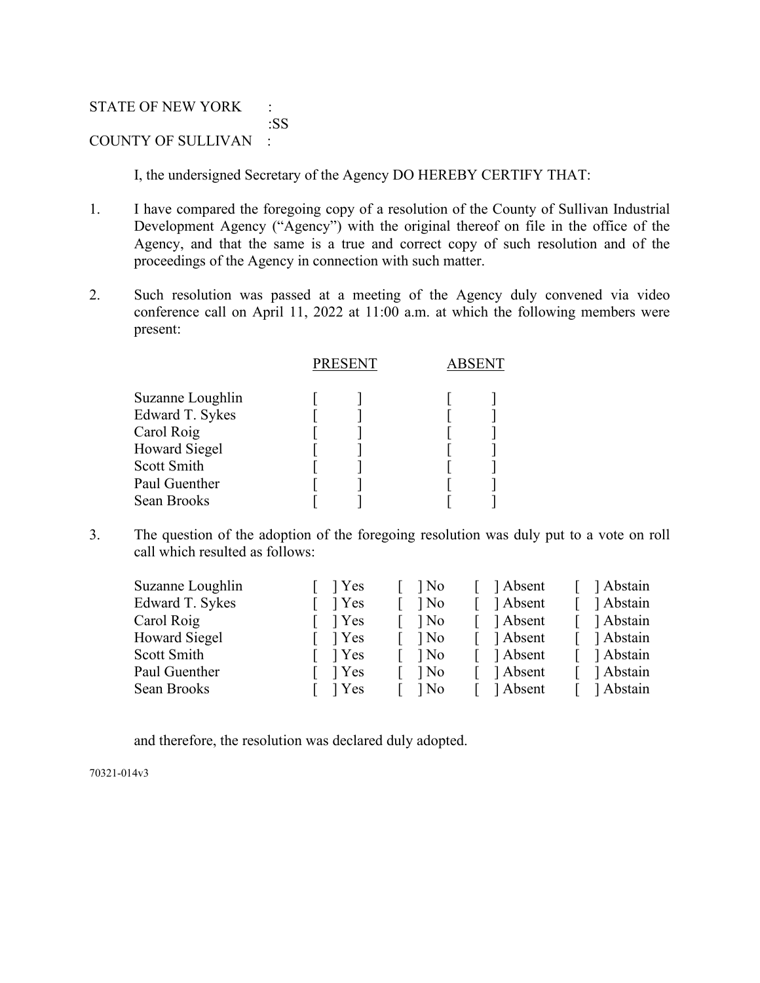## STATE OF NEW YORK : :SS COUNTY OF SULLIVAN :

I, the undersigned Secretary of the Agency DO HEREBY CERTIFY THAT:

- 1. I have compared the foregoing copy of a resolution of the County of Sullivan Industrial Development Agency ("Agency") with the original thereof on file in the office of the Agency, and that the same is a true and correct copy of such resolution and of the proceedings of the Agency in connection with such matter.
- 2. Such resolution was passed at a meeting of the Agency duly convened via video conference call on April 11, 2022 at 11:00 a.m. at which the following members were present:

|                                                                                                                          | <b>PRESENT</b> | <b>ABSENT</b> |  |
|--------------------------------------------------------------------------------------------------------------------------|----------------|---------------|--|
| Suzanne Loughlin<br>Edward T. Sykes<br>Carol Roig<br><b>Howard Siegel</b><br>Scott Smith<br>Paul Guenther<br>Sean Brooks |                |               |  |
|                                                                                                                          |                |               |  |

3. The question of the adoption of the foregoing resolution was duly put to a vote on roll call which resulted as follows:

| Suzanne Loughlin     | 1 Yes | 1 No   | Absent   | Abstain   |
|----------------------|-------|--------|----------|-----------|
| Edward T. Sykes      | 1 Yes | ] No   | 1 Absent | Abstain   |
| Carol Roig           | 1 Yes | $\log$ | 1 Absent | Abstain   |
| <b>Howard Siegel</b> | 1 Yes | $\log$ | 1 Absent | Abstain   |
| Scott Smith          | 1 Yes | $\log$ | Absent   | 1 Abstain |
| Paul Guenther        | 1 Yes | $\log$ | 1 Absent | Abstain   |
| Sean Brooks          | 1 Yes | $1$ No | 1 Absent | Abstain   |
|                      |       |        |          |           |

and therefore, the resolution was declared duly adopted.

70321-014v3